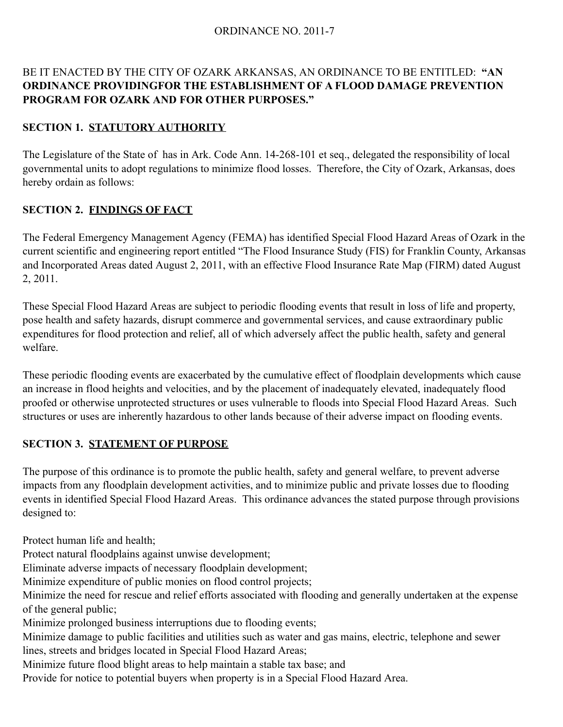#### ORDINANCE NO. 2011-7

#### BE IT ENACTED BY THE CITY OF OZARK ARKANSAS, AN ORDINANCE TO BE ENTITLED: **"AN ORDINANCE PROVIDINGFOR THE ESTABLISHMENT OF A FLOOD DAMAGE PREVENTION PROGRAM FOR OZARK AND FOR OTHER PURPOSES."**

#### **SECTION 1. STATUTORY AUTHORITY**

The Legislature of the State of has in Ark. Code Ann. 14-268-101 et seq., delegated the responsibility of local governmental units to adopt regulations to minimize flood losses. Therefore, the City of Ozark, Arkansas, does hereby ordain as follows:

#### **SECTION 2. FINDINGS OF FACT**

The Federal Emergency Management Agency (FEMA) has identified Special Flood Hazard Areas of Ozark in the current scientific and engineering report entitled "The Flood Insurance Study (FIS) for Franklin County, Arkansas and Incorporated Areas dated August 2, 2011, with an effective Flood Insurance Rate Map (FIRM) dated August 2, 2011.

These Special Flood Hazard Areas are subject to periodic flooding events that result in loss of life and property, pose health and safety hazards, disrupt commerce and governmental services, and cause extraordinary public expenditures for flood protection and relief, all of which adversely affect the public health, safety and general welfare.

These periodic flooding events are exacerbated by the cumulative effect of floodplain developments which cause an increase in flood heights and velocities, and by the placement of inadequately elevated, inadequately flood proofed or otherwise unprotected structures or uses vulnerable to floods into Special Flood Hazard Areas. Such structures or uses are inherently hazardous to other lands because of their adverse impact on flooding events.

#### **SECTION 3. STATEMENT OF PURPOSE**

The purpose of this ordinance is to promote the public health, safety and general welfare, to prevent adverse impacts from any floodplain development activities, and to minimize public and private losses due to flooding events in identified Special Flood Hazard Areas. This ordinance advances the stated purpose through provisions designed to:

Protect human life and health;

Protect natural floodplains against unwise development;

Eliminate adverse impacts of necessary floodplain development;

Minimize expenditure of public monies on flood control projects;

Minimize the need for rescue and relief efforts associated with flooding and generally undertaken at the expense of the general public;

Minimize prolonged business interruptions due to flooding events;

Minimize damage to public facilities and utilities such as water and gas mains, electric, telephone and sewer lines, streets and bridges located in Special Flood Hazard Areas;

Minimize future flood blight areas to help maintain a stable tax base; and

Provide for notice to potential buyers when property is in a Special Flood Hazard Area.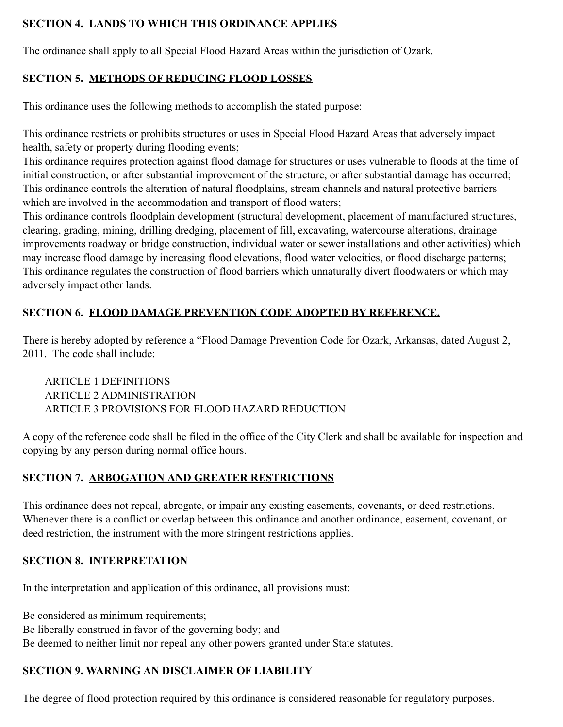## **SECTION 4. LANDS TO WHICH THIS ORDINANCE APPLIES**

The ordinance shall apply to all Special Flood Hazard Areas within the jurisdiction of Ozark.

## **SECTION 5. METHODS OF REDUCING FLOOD LOSSES**

This ordinance uses the following methods to accomplish the stated purpose:

This ordinance restricts or prohibits structures or uses in Special Flood Hazard Areas that adversely impact health, safety or property during flooding events;

This ordinance requires protection against flood damage for structures or uses vulnerable to floods at the time of initial construction, or after substantial improvement of the structure, or after substantial damage has occurred; This ordinance controls the alteration of natural floodplains, stream channels and natural protective barriers which are involved in the accommodation and transport of flood waters;

This ordinance controls floodplain development (structural development, placement of manufactured structures, clearing, grading, mining, drilling dredging, placement of fill, excavating, watercourse alterations, drainage improvements roadway or bridge construction, individual water or sewer installations and other activities) which may increase flood damage by increasing flood elevations, flood water velocities, or flood discharge patterns; This ordinance regulates the construction of flood barriers which unnaturally divert floodwaters or which may adversely impact other lands.

## **SECTION 6. FLOOD DAMAGE PREVENTION CODE ADOPTED BY REFERENCE.**

There is hereby adopted by reference a "Flood Damage Prevention Code for Ozark, Arkansas, dated August 2, 2011. The code shall include:

ARTICLE 1 DEFINITIONS ARTICLE 2 ADMINISTRATION ARTICLE 3 PROVISIONS FOR FLOOD HAZARD REDUCTION

A copy of the reference code shall be filed in the office of the City Clerk and shall be available for inspection and copying by any person during normal office hours.

## **SECTION 7. ARBOGATION AND GREATER RESTRICTIONS**

This ordinance does not repeal, abrogate, or impair any existing easements, covenants, or deed restrictions. Whenever there is a conflict or overlap between this ordinance and another ordinance, easement, covenant, or deed restriction, the instrument with the more stringent restrictions applies.

## **SECTION 8. INTERPRETATION**

In the interpretation and application of this ordinance, all provisions must:

Be considered as minimum requirements;

Be liberally construed in favor of the governing body; and

Be deemed to neither limit nor repeal any other powers granted under State statutes.

# **SECTION 9. WARNING AN DISCLAIMER OF LIABILITY**

The degree of flood protection required by this ordinance is considered reasonable for regulatory purposes.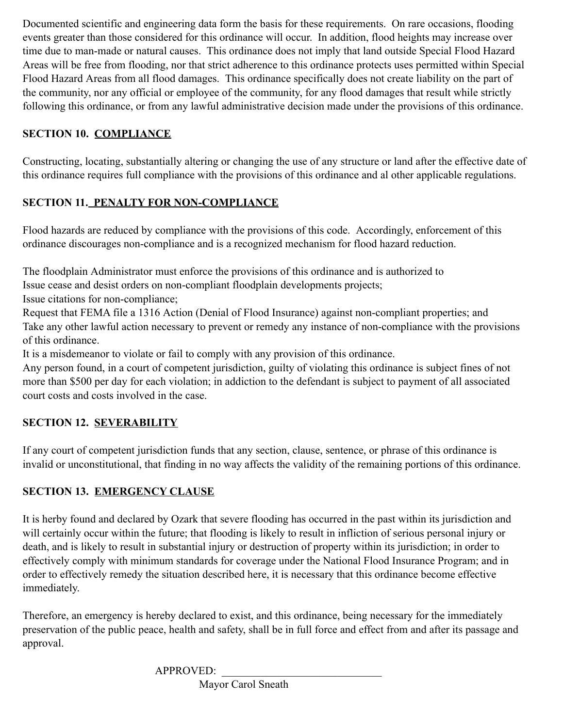Documented scientific and engineering data form the basis for these requirements. On rare occasions, flooding events greater than those considered for this ordinance will occur. In addition, flood heights may increase over time due to man-made or natural causes. This ordinance does not imply that land outside Special Flood Hazard Areas will be free from flooding, nor that strict adherence to this ordinance protects uses permitted within Special Flood Hazard Areas from all flood damages. This ordinance specifically does not create liability on the part of the community, nor any official or employee of the community, for any flood damages that result while strictly following this ordinance, or from any lawful administrative decision made under the provisions of this ordinance.

## **SECTION 10. COMPLIANCE**

Constructing, locating, substantially altering or changing the use of any structure or land after the effective date of this ordinance requires full compliance with the provisions of this ordinance and al other applicable regulations.

# **SECTION 11. PENALTY FOR NON-COMPLIANCE**

Flood hazards are reduced by compliance with the provisions of this code. Accordingly, enforcement of this ordinance discourages non-compliance and is a recognized mechanism for flood hazard reduction.

The floodplain Administrator must enforce the provisions of this ordinance and is authorized to

Issue cease and desist orders on non-compliant floodplain developments projects;

Issue citations for non-compliance;

Request that FEMA file a 1316 Action (Denial of Flood Insurance) against non-compliant properties; and Take any other lawful action necessary to prevent or remedy any instance of non-compliance with the provisions of this ordinance.

It is a misdemeanor to violate or fail to comply with any provision of this ordinance.

Any person found, in a court of competent jurisdiction, guilty of violating this ordinance is subject fines of not more than \$500 per day for each violation; in addiction to the defendant is subject to payment of all associated court costs and costs involved in the case.

# **SECTION 12. SEVERABILITY**

If any court of competent jurisdiction funds that any section, clause, sentence, or phrase of this ordinance is invalid or unconstitutional, that finding in no way affects the validity of the remaining portions of this ordinance.

# **SECTION 13. EMERGENCY CLAUSE**

It is herby found and declared by Ozark that severe flooding has occurred in the past within its jurisdiction and will certainly occur within the future; that flooding is likely to result in infliction of serious personal injury or death, and is likely to result in substantial injury or destruction of property within its jurisdiction; in order to effectively comply with minimum standards for coverage under the National Flood Insurance Program; and in order to effectively remedy the situation described here, it is necessary that this ordinance become effective immediately.

Therefore, an emergency is hereby declared to exist, and this ordinance, being necessary for the immediately preservation of the public peace, health and safety, shall be in full force and effect from and after its passage and approval.

APPROVED:

Mayor Carol Sneath